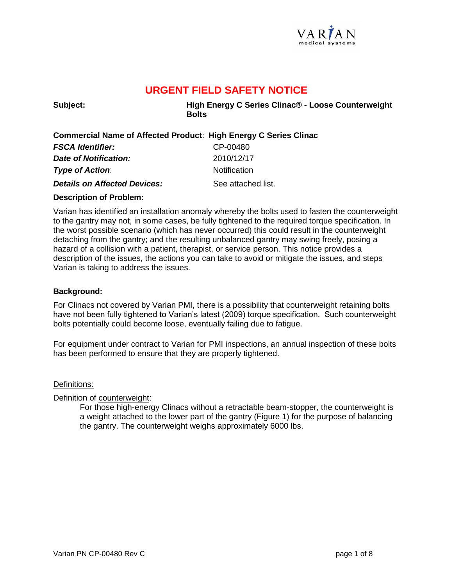

**Subject: High Energy C Series Clinac® - Loose Counterweight Bolts**

## **Commercial Name of Affected Product**: **High Energy C Series Clinac**

| <b>FSCA Identifier:</b>             | CP-00480            |
|-------------------------------------|---------------------|
| Date of Notification:               | 2010/12/17          |
| <b>Type of Action:</b>              | <b>Notification</b> |
| <b>Details on Affected Devices:</b> | See attached list.  |

### **Description of Problem:**

Varian has identified an installation anomaly whereby the bolts used to fasten the counterweight to the gantry may not, in some cases, be fully tightened to the required torque specification. In the worst possible scenario (which has never occurred) this could result in the counterweight detaching from the gantry; and the resulting unbalanced gantry may swing freely, posing a hazard of a collision with a patient, therapist, or service person. This notice provides a description of the issues, the actions you can take to avoid or mitigate the issues, and steps Varian is taking to address the issues.

### **Background:**

For Clinacs not covered by Varian PMI, there is a possibility that counterweight retaining bolts have not been fully tightened to Varian's latest (2009) torque specification. Such counterweight bolts potentially could become loose, eventually failing due to fatigue.

For equipment under contract to Varian for PMI inspections, an annual inspection of these bolts has been performed to ensure that they are properly tightened.

### Definitions:

Definition of counterweight:

For those high-energy Clinacs without a retractable beam-stopper, the counterweight is a weight attached to the lower part of the gantry (Figure 1) for the purpose of balancing the gantry. The counterweight weighs approximately 6000 lbs.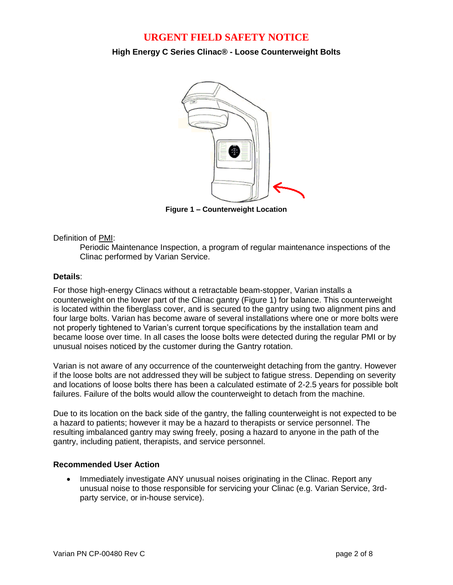**High Energy C Series Clinac® - Loose Counterweight Bolts**



**Figure 1 – Counterweight Location**

### Definition of PMI:

Periodic Maintenance Inspection, a program of regular maintenance inspections of the Clinac performed by Varian Service.

### **Details**:

For those high-energy Clinacs without a retractable beam-stopper, Varian installs a counterweight on the lower part of the Clinac gantry (Figure 1) for balance. This counterweight is located within the fiberglass cover, and is secured to the gantry using two alignment pins and four large bolts. Varian has become aware of several installations where one or more bolts were not properly tightened to Varian's current torque specifications by the installation team and became loose over time. In all cases the loose bolts were detected during the regular PMI or by unusual noises noticed by the customer during the Gantry rotation.

Varian is not aware of any occurrence of the counterweight detaching from the gantry. However if the loose bolts are not addressed they will be subject to fatigue stress. Depending on severity and locations of loose bolts there has been a calculated estimate of 2-2.5 years for possible bolt failures. Failure of the bolts would allow the counterweight to detach from the machine.

Due to its location on the back side of the gantry, the falling counterweight is not expected to be a hazard to patients; however it may be a hazard to therapists or service personnel. The resulting imbalanced gantry may swing freely, posing a hazard to anyone in the path of the gantry, including patient, therapists, and service personnel.

### **Recommended User Action**

 Immediately investigate ANY unusual noises originating in the Clinac. Report any unusual noise to those responsible for servicing your Clinac (e.g. Varian Service, 3rdparty service, or in-house service).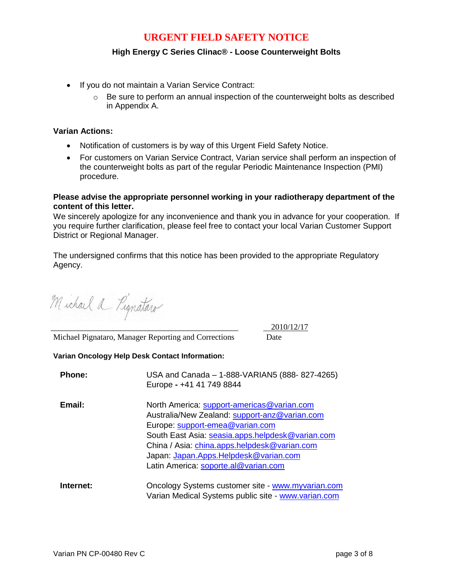### **High Energy C Series Clinac® - Loose Counterweight Bolts**

- If you do not maintain a Varian Service Contract:
	- $\circ$  Be sure to perform an annual inspection of the counterweight bolts as described in Appendix A.

### **Varian Actions:**

- Notification of customers is by way of this Urgent Field Safety Notice.
- For customers on Varian Service Contract, Varian service shall perform an inspection of the counterweight bolts as part of the regular Periodic Maintenance Inspection (PMI) procedure.

### **Please advise the appropriate personnel working in your radiotherapy department of the content of this letter.**

We sincerely apologize for any inconvenience and thank you in advance for your cooperation. If you require further clarification, please feel free to contact your local Varian Customer Support District or Regional Manager.

The undersigned confirms that this notice has been provided to the appropriate Regulatory Agency.

Michael a Pignataro

Michael Pignataro, Manager Reporting and Corrections Date

\_\_\_\_\_\_\_\_\_\_\_\_\_\_\_\_\_\_\_\_\_\_\_\_\_\_\_\_\_\_\_\_\_\_\_\_\_\_\_\_\_\_\_\_\_\_\_\_ 2010/12/17

## **Varian Oncology Help Desk Contact Information:**

| <b>Phone:</b> | USA and Canada - 1-888-VARIAN5 (888-827-4265)<br>Europe - +41 41 749 8844                                                                                                                                                                                                                                           |
|---------------|---------------------------------------------------------------------------------------------------------------------------------------------------------------------------------------------------------------------------------------------------------------------------------------------------------------------|
| Email:        | North America: support-americas@varian.com<br>Australia/New Zealand: support-anz@varian.com<br>Europe: support-emea@varian.com<br>South East Asia: seasia.apps.helpdesk@varian.com<br>China / Asia: china.apps.helpdesk@varian.com<br>Japan: Japan.Apps.Helpdesk@varian.com<br>Latin America: soporte.al@varian.com |
| Internet:     | Oncology Systems customer site - www.myvarian.com<br>Varian Medical Systems public site - www.varian.com                                                                                                                                                                                                            |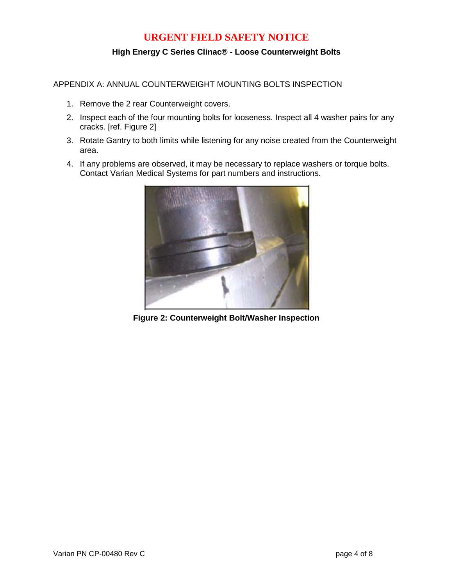## **High Energy C Series Clinac® - Loose Counterweight Bolts**

APPENDIX A: ANNUAL COUNTERWEIGHT MOUNTING BOLTS INSPECTION

- 1. Remove the 2 rear Counterweight covers.
- 2. Inspect each of the four mounting bolts for looseness. Inspect all 4 washer pairs for any cracks. [ref. Figure 2]
- 3. Rotate Gantry to both limits while listening for any noise created from the Counterweight area.
- 4. If any problems are observed, it may be necessary to replace washers or torque bolts. Contact Varian Medical Systems for part numbers and instructions.



**Figure 2: Counterweight Bolt/Washer Inspection**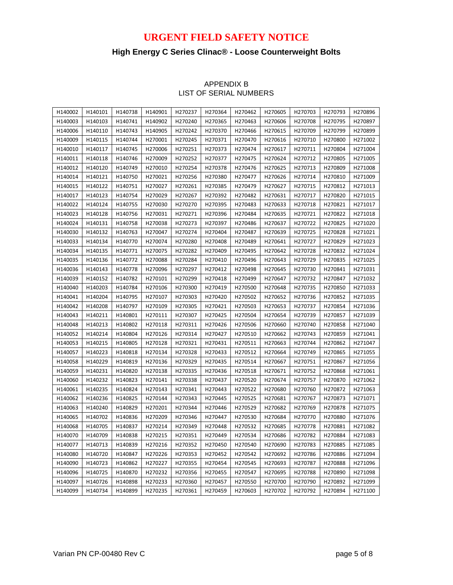## **High Energy C Series Clinac® - Loose Counterweight Bolts**

| H140002 | H140101 | H140738 | H140901             | H270237 | H270364             | H270462 | H270605 | H270703 | H270793             | H270896             |
|---------|---------|---------|---------------------|---------|---------------------|---------|---------|---------|---------------------|---------------------|
| H140003 | H140103 | H140741 | H140902             | H270240 | H270365             | H270463 | H270606 | H270708 | H270795             | H270897             |
| H140006 | H140110 | H140743 | H140905             | H270242 | H270370             | H270466 | H270615 | H270709 | H270799             | H270899             |
| H140009 | H140115 | H140744 | H270001             | H270245 | H270371             | H270470 | H270616 | H270710 | H <sub>270800</sub> | H271002             |
| H140010 | H140117 | H140745 | H270006             | H270251 | H270373             | H270474 | H270617 | H270711 | H <sub>270804</sub> | H271004             |
| H140011 | H140118 | H140746 | H <sub>270009</sub> | H270252 | H270377             | H270475 | H270624 | H270712 | H <sub>270805</sub> | H <sub>271005</sub> |
| H140012 | H140120 | H140749 | H270010             | H270254 | H270378             | H270476 | H270625 | H270713 | H <sub>270809</sub> | H271008             |
| H140014 | H140121 | H140750 | H270021             | H270256 | H270380             | H270477 | H270626 | H270714 | H270810             | H271009             |
| H140015 | H140122 | H140751 | H270027             | H270261 | H270385             | H270479 | H270627 | H270715 | H270812             | H271013             |
| H140017 | H140123 | H140754 | H270029             | H270267 | H270392             | H270482 | H270631 | H270717 | H270820             | H271015             |
| H140022 | H140124 | H140755 | H270030             | H270270 | H270395             | H270483 | H270633 | H270718 | H270821             | H271017             |
| H140023 | H140128 | H140756 | H270031             | H270271 | H270396             | H270484 | H270635 | H270721 | H270822             | H271018             |
| H140024 | H140131 | H140758 | H270038             | H270273 | H270397             | H270486 | H270637 | H270722 | H270825             | H271020             |
| H140030 | H140132 | H140763 | H270047             | H270274 | H270404             | H270487 | H270639 | H270725 | H270828             | H271021             |
| H140033 | H140134 | H140770 | H270074             | H270280 | H270408             | H270489 | H270641 | H270727 | H270829             | H271023             |
| H140034 | H140135 | H140771 | H270075             | H270282 | H <sub>270409</sub> | H270495 | H270642 | H270728 | H270832             | H271024             |
| H140035 | H140136 | H140772 | H270088             | H270284 | H270410             | H270496 | H270643 | H270729 | H270835             | H271025             |
| H140036 | H140143 | H140778 | H270096             | H270297 | H270412             | H270498 | H270645 | H270730 | H270841             | H271031             |
| H140039 | H140152 | H140782 | H270101             | H270299 | H270418             | H270499 | H270647 | H270732 | H270847             | H271032             |
| H140040 | H140203 | H140784 | H270106             | H270300 | H270419             | H270500 | H270648 | H270735 | H270850             | H271033             |
| H140041 | H140204 | H140795 | H270107             | H270303 | H270420             | H270502 | H270652 | H270736 | H270852             | H271035             |
| H140042 | H140208 | H140797 | H270109             | H270305 | H270421             | H270503 | H270653 | H270737 | H270854             | H271036             |
| H140043 | H140211 | H140801 | H270111             | H270307 | H270425             | H270504 | H270654 | H270739 | H270857             | H271039             |
| H140048 | H140213 | H140802 | H270118             | H270311 | H270426             | H270506 | H270660 | H270740 | H270858             | H271040             |
| H140052 | H140214 | H140804 | H270126             | H270314 | H270427             | H270510 | H270662 | H270743 | H270859             | H271041             |
| H140053 | H140215 | H140805 | H270128             | H270321 | H270431             | H270511 | H270663 | H270744 | H270862             | H271047             |
| H140057 | H140223 | H140818 | H270134             | H270328 | H270433             | H270512 | H270664 | H270749 | H270865             | H271055             |
| H140058 | H140229 | H140819 | H270136             | H270329 | H270435             | H270514 | H270667 | H270751 | H270867             | H271056             |
| H140059 | H140231 | H140820 | H270138             | H270335 | H270436             | H270518 | H270671 | H270752 | H270868             | H271061             |
| H140060 | H140232 | H140823 | H270141             | H270338 | H270437             | H270520 | H270674 | H270757 | H270870             | H271062             |
| H140061 | H140235 | H140824 | H270143             | H270341 | H270443             | H270522 | H270680 | H270760 | H270872             | H271063             |
| H140062 | H140236 | H140825 | H270144             | H270343 | H270445             | H270525 | H270681 | H270767 | H270873             | H271071             |
| H140063 | H140240 | H140829 | H270201             | H270344 | H270446             | H270529 | H270682 | H270769 | H270878             | H271075             |
| H140065 | H140702 | H140836 | H270209             | H270346 | H270447             | H270530 | H270684 | H270770 | H270880             | H271076             |
| H140068 | H140705 | H140837 | H270214             | H270349 | H270448             | H270532 | H270685 | H270778 | H270881             | H271082             |
| H140070 | H140709 | H140838 | H270215             | H270351 | H270449             | H270534 | H270686 | H270782 | H270884             | H271083             |
| H140077 | H140713 | H140839 | H270216             | H270352 | H270450             | H270540 | H270690 | H270783 | H270885             | H271085             |
| H140080 | H140720 | H140847 | H270226             | H270353 | H270452             | H270542 | H270692 | H270786 | H270886             | H271094             |
| H140090 | H140723 | H140862 | H270227             | H270355 | H270454             | H270545 | H270693 | H270787 | H270888             | H271096             |
| H140096 | H140725 | H140870 | H270232             | H270356 | H270455             | H270547 | H270695 | H270788 | H270890             | H271098             |
| H140097 | H140726 | H140898 | H270233             | H270360 | H270457             | H270550 | H270700 | H270790 | H270892             | H271099             |
| H140099 | H140734 | H140899 | H270235             | H270361 | H270459             | H270603 | H270702 | H270792 | H270894             | H271100             |

### APPENDIX B LIST OF SERIAL NUMBERS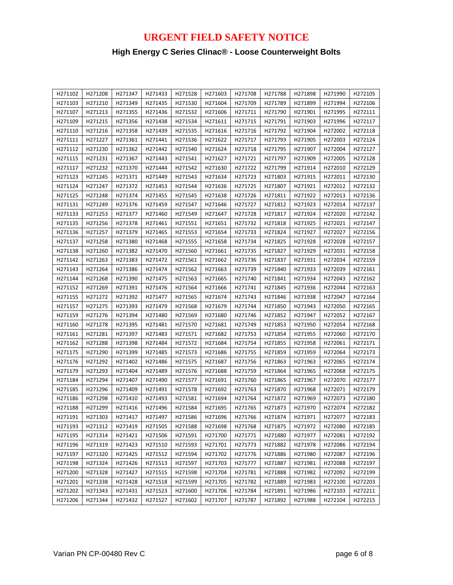# **High Energy C Series Clinac® - Loose Counterweight Bolts**

| H271102 | H271208 | H271347 | H271433 | H271528 | H271603 | H271708 | H271788 | H271898 | H271990 | H272105 |
|---------|---------|---------|---------|---------|---------|---------|---------|---------|---------|---------|
| H271103 | H271210 | H271349 | H271435 | H271530 | H271604 | H271709 | H271789 | H271899 | H271994 | H272106 |
| H271107 | H271213 | H271355 | H271436 | H271532 | H271606 | H271711 | H271790 | H271901 | H271995 | H272111 |
| H271109 | H271215 | H271356 | H271438 | H271534 | H271611 | H271715 | H271791 | H271903 | H271996 | H272117 |
| H271110 | H271216 | H271358 | H271439 | H271535 | H271616 | H271716 | H271792 | H271904 | H272002 | H272118 |
| H271111 | H271227 | H271361 | H271441 | H271536 | H271622 | H271717 | H271793 | H271905 | H272003 | H272124 |
| H271112 | H271230 | H271362 | H271442 | H271540 | H271624 | H271718 | H271795 | H271907 | H272004 | H272127 |
| H271115 | H271231 | H271367 | H271443 | H271541 | H271627 | H271721 | H271797 | H271909 | H272005 | H272128 |
| H271117 | H271232 | H271370 | H271444 | H271542 | H271630 | H271722 | H271799 | H271914 | H272010 | H272129 |
| H271123 | H271245 | H271371 | H271449 | H271543 | H271634 | H271723 | H271803 | H271915 | H272011 | H272130 |
| H271124 | H271247 | H271372 | H271453 | H271544 | H271636 | H271725 | H271807 | H271921 | H272012 | H272132 |
| H271125 | H271248 | H271374 | H271455 | H271545 | H271638 | H271726 | H271811 | H271922 | H272013 | H272136 |
| H271131 | H271249 | H271376 | H271459 | H271547 | H271646 | H271727 | H271812 | H271923 | H272014 | H272137 |
| H271133 | H271253 | H271377 | H271460 | H271549 | H271647 | H271728 | H271817 | H271924 | H272020 | H272142 |
| H271135 | H271256 | H271378 | H271461 | H271551 | H271651 | H271732 | H271818 | H271925 | H272021 | H272147 |
| H271136 | H271257 | H271379 | H271465 | H271553 | H271654 | H271733 | H271824 | H271927 | H272027 | H272156 |
| H271137 | H271258 | H271380 | H271468 | H271555 | H271658 | H271734 | H271825 | H271928 | H272028 | H272157 |
| H271138 | H271260 | H271382 | H271470 | H271560 | H271661 | H271735 | H271827 | H271929 | H272031 | H272158 |
| H271142 | H271263 | H271383 | H271472 | H271561 | H271662 | H271736 | H271837 | H271931 | H272034 | H272159 |
| H271143 | H271264 | H271386 | H271474 | H271562 | H271663 | H271739 | H271840 | H271933 | H272039 | H272161 |
| H271144 | H271268 | H271390 | H271475 | H271563 | H271665 | H271740 | H271841 | H271934 | H272043 | H272162 |
| H271152 | H271269 | H271391 | H271476 | H271564 | H271666 | H271741 | H271845 | H271936 | H272044 | H272163 |
| H271155 | H271272 | H271392 | H271477 | H271565 | H271674 | H271743 | H271846 | H271938 | H272047 | H272164 |
| H271157 | H271275 | H271393 | H271479 | H271568 | H271679 | H271744 | H271850 | H271943 | H272050 | H272165 |
| H271159 | H271276 | H271394 | H271480 | H271569 | H271680 | H271746 | H271852 | H271947 | H272052 | H272167 |
| H271160 | H271278 | H271395 | H271481 | H271570 | H271681 | H271749 | H271853 | H271950 | H272054 | H272168 |
| H271161 | H271281 | H271397 | H271483 | H271571 | H271682 | H271753 | H271854 | H271955 | H272060 | H272170 |
| H271162 | H271288 | H271398 | H271484 | H271572 | H271684 | H271754 | H271855 | H271958 | H272061 | H272171 |
| H271175 | H271290 | H271399 | H271485 | H271573 | H271686 | H271755 | H271859 | H271959 | H272064 | H272173 |
| H271176 | H271292 | H271402 | H271486 | H271575 | H271687 | H271756 | H271863 | H271963 | H272065 | H272174 |
| H271179 | H271293 | H271404 | H271489 | H271576 | H271688 | H271759 | H271864 | H271965 | H272068 | H272175 |
| H271184 | H271294 | H271407 | H271490 | H271577 | H271691 | H271760 | H271865 | H271967 | H272070 | H272177 |
| H271185 | H271296 | H271409 | H271491 | H271578 | H271692 | H271763 | H271870 | H271968 | H272071 | H272179 |
| H271186 | H271298 | H271410 | H271493 | H271581 | H271694 | H271764 | H271872 | H271969 | H272073 | H272180 |
| H271188 | H271299 | H271416 | H271496 | H271584 | H271695 | H271765 | H271873 | H271970 | H272074 | H272182 |
| H271191 | H271303 | H271417 | H271497 | H271586 | H271696 | H271766 | H271874 | H271971 | H272077 | H272183 |
| H271193 | H271312 | H271419 | H271505 | H271588 | H271698 | H271768 | H271875 | H271972 | H272080 | H272185 |
| H271195 | H271314 | H271421 | H271506 | H271591 | H271700 | H271771 | H271880 | H271977 | H272081 | H272192 |
| H271196 | H271319 | H271423 | H271510 | H271593 | H271701 | H271773 | H271882 | H271978 | H272086 | H272194 |
| H271197 | H271320 | H271425 | H271512 | H271594 | H271702 | H271776 | H271886 | H271980 | H272087 | H272196 |
| H271198 | H271324 | H271426 | H271513 | H271597 | H271703 | H271777 | H271887 | H271981 | H272088 | H272197 |
| H271200 | H271328 | H271427 | H271515 | H271598 | H271704 | H271781 | H271888 | H271982 | H272092 | H272199 |
| H271201 | H271338 | H271428 | H271518 | H271599 | H271705 | H271782 | H271889 | H271983 | H272100 | H272203 |
| H271202 | H271343 | H271431 | H271523 | H271600 | H271706 | H271784 | H271891 | H271986 | H272103 | H272211 |
| H271206 | H271344 | H271432 | H271527 | H271602 | H271707 | H271787 | H271892 | H271988 | H272104 | H272215 |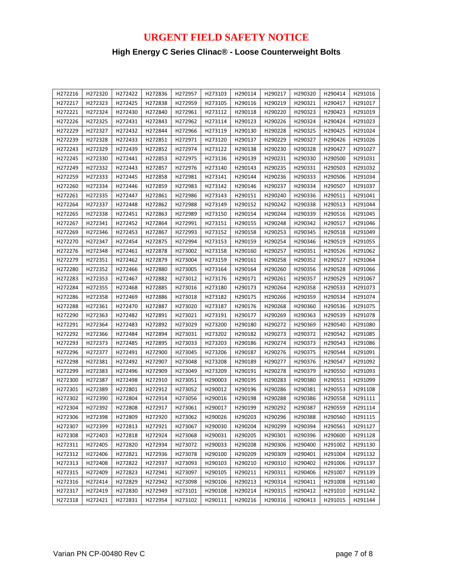# **High Energy C Series Clinac® - Loose Counterweight Bolts**

| H272216 | H272320 | H272422 | H272836 | H272957 | H273103 | H290114 | H290217 | H290320 | H290414 | H291016 |
|---------|---------|---------|---------|---------|---------|---------|---------|---------|---------|---------|
| H272217 | H272323 | H272425 | H272838 | H272959 | H273105 | H290116 | H290219 | H290321 | H290417 | H291017 |
| H272221 | H272324 | H272430 | H272840 | H272961 | H273112 | H290118 | H290220 | H290323 | H290423 | H291019 |
| H272226 | H272325 | H272431 | H272843 | H272962 | H273114 | H290123 | H290226 | H290324 | H290424 | H291023 |
| H272229 | H272327 | H272432 | H272844 | H272966 | H273119 | H290130 | H290228 | H290325 | H290425 | H291024 |
| H272239 | H272328 | H272433 | H272851 | H272971 | H273120 | H290137 | H290229 | H290327 | H290426 | H291026 |
| H272243 | H272329 | H272439 | H272852 | H272974 | H273122 | H290138 | H290230 | H290328 | H290427 | H291027 |
| H272245 | H272330 | H272441 | H272853 | H272975 | H273136 | H290139 | H290231 | H290330 | H290500 | H291031 |
| H272249 | H272332 | H272443 | H272857 | H272976 | H273140 | H290143 | H290235 | H290331 | H290503 | H291032 |
| H272259 | H272333 | H272445 | H272858 | H272981 | H273141 | H290144 | H290236 | H290333 | H290506 | H291034 |
| H272260 | H272334 | H272446 | H272859 | H272983 | H273142 | H290146 | H290237 | H290334 | H290507 | H291037 |
| H272261 | H272335 | H272447 | H272861 | H272986 | H273143 | H290151 | H290240 | H290336 | H290511 | H291041 |
| H272264 | H272337 | H272448 | H272862 | H272988 | H273149 | H290152 | H290242 | H290338 | H290513 | H291044 |
| H272265 | H272338 | H272451 | H272863 | H272989 | H273150 | H290154 | H290244 | H290339 | H290516 | H291045 |
| H272267 | H272341 | H272452 | H272864 | H272991 | H273151 | H290155 | H290248 | H290342 | H290517 | H291046 |
| H272269 | H272346 | H272453 | H272867 | H272993 | H273152 | H290158 | H290253 | H290345 | H290518 | H291049 |
| H272270 | H272347 | H272454 | H272875 | H272994 | H273153 | H290159 | H290254 | H290346 | H290519 | H291055 |
| H272276 | H272348 | H272461 | H272878 | H273002 | H273158 | H290160 | H290257 | H290351 | H290526 | H291062 |
| H272279 | H272351 | H272462 | H272879 | H273004 | H273159 | H290161 | H290258 | H290352 | H290527 | H291064 |
| H272280 | H272352 | H272466 | H272880 | H273005 | H273164 | H290164 | H290260 | H290356 | H290528 | H291066 |
| H272283 | H272353 | H272467 | H272882 | H273012 | H273176 | H290171 | H290261 | H290357 | H290529 | H291067 |
| H272284 | H272355 | H272468 | H272885 | H273016 | H273180 | H290173 | H290264 | H290358 | H290533 | H291073 |
| H272286 | H272358 | H272469 | H272886 | H273018 | H273182 | H290175 | H290266 | H290359 | H290534 | H291074 |
| H272288 | H272361 | H272470 | H272887 | H273020 | H273187 | H290176 | H290268 | H290360 | H290536 | H291075 |
| H272290 | H272363 | H272482 | H272891 | H273021 | H273191 | H290177 | H290269 | H290363 | H290539 | H291078 |
| H272291 | H272364 | H272483 | H272892 | H273029 | H273200 | H290180 | H290272 | H290369 | H290540 | H291080 |
| H272292 | H272366 | H272484 | H272894 | H273031 | H273202 | H290182 | H290273 | H290372 | H290542 | H291085 |
| H272293 | H272373 | H272485 | H272895 | H273033 | H273203 | H290186 | H290274 | H290373 | H290543 | H291086 |
| H272296 | H272377 | H272491 | H272900 | H273045 | H273206 | H290187 | H290276 | H290375 | H290544 | H291091 |
| H272298 | H272381 | H272492 | H272907 | H273048 | H273208 | H290189 | H290277 | H290376 | H290547 | H291092 |
| H272299 | H272383 | H272496 | H272909 | H273049 | H273209 | H290191 | H290278 | H290379 | H290550 | H291093 |
| H272300 | H272387 | H272498 | H272910 | H273051 | H290003 | H290195 | H290283 | H290380 | H290551 | H291099 |
| H272301 | H272389 | H272801 | H272912 | H273052 | H290012 | H290196 | H290286 | H290381 | H290553 | H291108 |
| H272302 | H272390 | H272804 | H272914 | H273056 | H290016 | H290198 | H290288 | H290386 | H290558 | H291111 |
| H272304 | H272392 | H272808 | H272917 | H273061 | H290017 | H290199 | H290292 | H290387 | H290559 | H291114 |
| H272306 | H272398 | H272809 | H272920 | H273062 | H290026 | H290203 | H290296 | H290388 | H290560 | H291115 |
| H272307 | H272399 | H272813 | H272921 | H273067 | H290030 | H290204 | H290299 | H290394 | H290561 | H291127 |
| H272308 | H272403 | H272818 | H272924 | H273068 | H290031 | H290205 | H290301 | H290396 | H290600 | H291128 |
| H272311 | H272405 | H272820 | H272934 | H273072 | H290033 | H290208 | H290306 | H290400 | H291002 | H291130 |
| H272312 | H272406 | H272821 | H272936 | H273078 | H290100 | H290209 | H290309 | H290401 | H291004 | H291132 |
| H272313 | H272408 | H272822 | H272937 | H273093 | H290103 | H290210 | H290310 | H290402 | H291006 | H291137 |
| H272315 | H272409 | H272823 | H272941 | H273097 | H290105 | H290211 | H290311 | H290406 | H291007 | H291139 |
| H272316 | H272414 | H272829 | H272942 | H273098 | H290106 | H290213 | H290314 | H290411 | H291008 | H291140 |
| H272317 | H272419 | H272830 | H272949 | H273101 | H290108 | H290214 | H290315 | H290412 | H291010 | H291142 |
| H272318 | H272421 | H272831 | H272954 | H273102 | H290111 | H290216 | H290316 | H290413 | H291015 | H291144 |